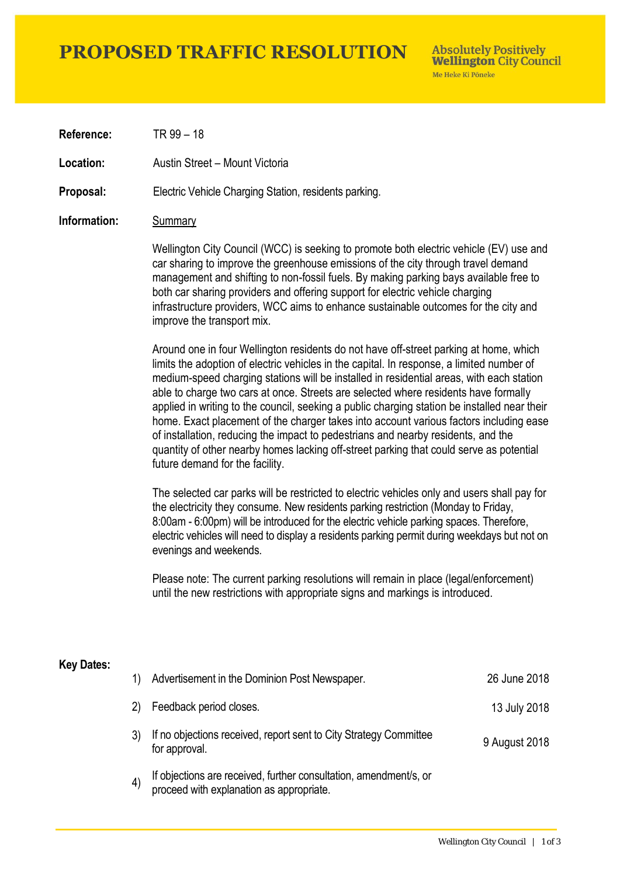# **PROPOSED TRAFFIC RESOLUTION**

**Absolutely Positively Wellington City Council** Me Heke Ki Pôneke

**Reference:** TR 99 – 18

**Location:** Austin Street – Mount Victoria

**Proposal:** Electric Vehicle Charging Station, residents parking.

### **Information:** Summary

Wellington City Council (WCC) is seeking to promote both electric vehicle (EV) use and car sharing to improve the greenhouse emissions of the city through travel demand management and shifting to non-fossil fuels. By making parking bays available free to both car sharing providers and offering support for electric vehicle charging infrastructure providers, WCC aims to enhance sustainable outcomes for the city and improve the transport mix.

Around one in four Wellington residents do not have off-street parking at home, which limits the adoption of electric vehicles in the capital. In response, a limited number of medium-speed charging stations will be installed in residential areas, with each station able to charge two cars at once. Streets are selected where residents have formally applied in writing to the council, seeking a public charging station be installed near their home. Exact placement of the charger takes into account various factors including ease of installation, reducing the impact to pedestrians and nearby residents, and the quantity of other nearby homes lacking off-street parking that could serve as potential future demand for the facility.

The selected car parks will be restricted to electric vehicles only and users shall pay for the electricity they consume. New residents parking restriction (Monday to Friday, 8:00am - 6:00pm) will be introduced for the electric vehicle parking spaces. Therefore, electric vehicles will need to display a residents parking permit during weekdays but not on evenings and weekends.

Please note: The current parking resolutions will remain in place (legal/enforcement) until the new restrictions with appropriate signs and markings is introduced.

#### **Key Dates:**

| 1)                | Advertisement in the Dominion Post Newspaper.                                                                 | 26 June 2018  |
|-------------------|---------------------------------------------------------------------------------------------------------------|---------------|
| 2)                | Feedback period closes.                                                                                       | 13 July 2018  |
|                   | If no objections received, report sent to City Strategy Committee<br>for approval.                            | 9 August 2018 |
| $\left( 4\right)$ | If objections are received, further consultation, amendment/s, or<br>proceed with explanation as appropriate. |               |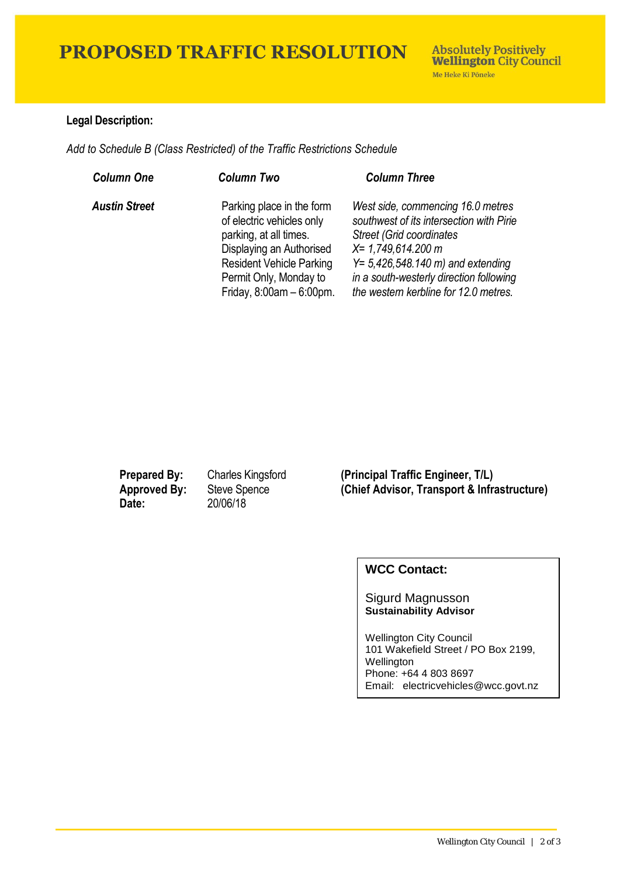# **PROPOSED TRAFFIC RESOLUTION**

## **Legal Description:**

*Add to Schedule B (Class Restricted) of the Traffic Restrictions Schedule* 

| <b>Column One</b>    | <b>Column Two</b>                                                                                                                                                                                       | <b>Column Three</b>                                                                                                                                                                                                                                                           |
|----------------------|---------------------------------------------------------------------------------------------------------------------------------------------------------------------------------------------------------|-------------------------------------------------------------------------------------------------------------------------------------------------------------------------------------------------------------------------------------------------------------------------------|
| <b>Austin Street</b> | Parking place in the form<br>of electric vehicles only<br>parking, at all times.<br>Displaying an Authorised<br><b>Resident Vehicle Parking</b><br>Permit Only, Monday to<br>Friday, $8:00am - 6:00pm.$ | West side, commencing 16.0 metres<br>southwest of its intersection with Pirie<br><b>Street (Grid coordinates)</b><br>$X = 1,749,614.200$ m<br>$Y = 5,426,548.140 \text{ m}$ and extending<br>in a south-westerly direction following<br>the western kerbline for 12.0 metres. |

**Date:** 20/06/18

**Prepared By:** Charles Kingsford **(Principal Traffic Engineer, T/L) Approved By:** Steve Spence **(Chief Advisor, Transport & Infrastructure)**

## **WCC Contact:**

#### Sigurd Magnusson **Sustainability Advisor**

Wellington City Council 101 Wakefield Street / PO Box 2199, Wellington Phone: +64 4 803 8697 Email: electricvehicles@wcc.govt.nz